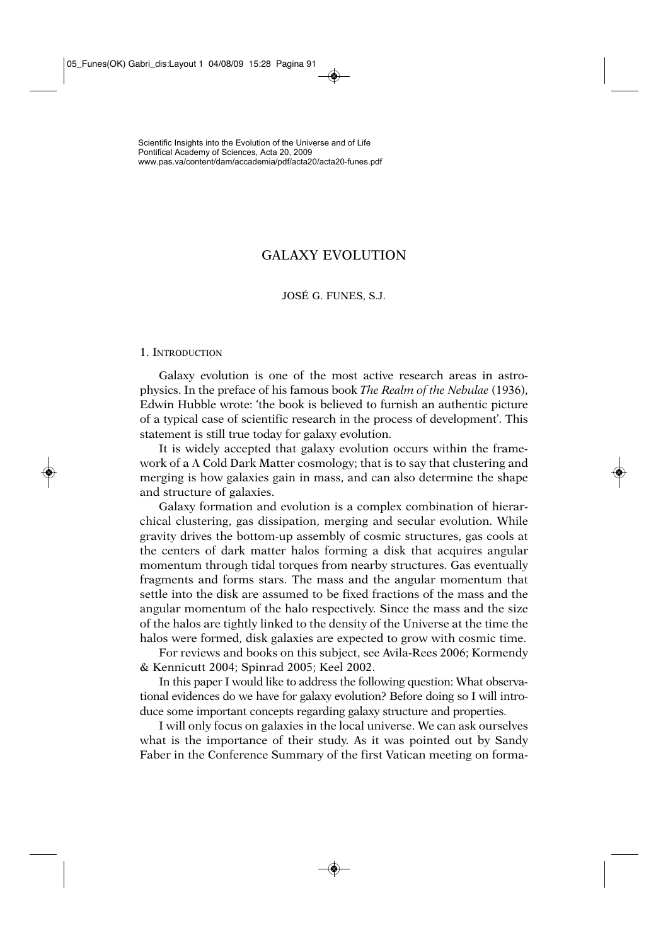# GALAXY EVOLUTION

# JOSÉ G. FUNES, S.J.

### 1. INTRODUCTION

Galaxy evolution is one of the most active research areas in astrophysics. In the preface of his famous book *The Realm of the Nebulae* (1936), Edwin Hubble wrote: 'the book is believed to furnish an authentic picture of a typical case of scientific research in the process of development'. This statement is still true today for galaxy evolution.

It is widely accepted that galaxy evolution occurs within the framework of a  $\Lambda$  Cold Dark Matter cosmology; that is to say that clustering and merging is how galaxies gain in mass, and can also determine the shape and structure of galaxies.

Galaxy formation and evolution is a complex combination of hierarchical clustering, gas dissipation, merging and secular evolution. While gravity drives the bottom-up assembly of cosmic structures, gas cools at the centers of dark matter halos forming a disk that acquires angular momentum through tidal torques from nearby structures. Gas eventually fragments and forms stars. The mass and the angular momentum that settle into the disk are assumed to be fixed fractions of the mass and the angular momentum of the halo respectively. Since the mass and the size of the halos are tightly linked to the density of the Universe at the time the halos were formed, disk galaxies are expected to grow with cosmic time.

For reviews and books on this subject, see Avila-Rees 2006; Kormendy & Kennicutt 2004; Spinrad 2005; Keel 2002.

In this paper I would like to address the following question: What observational evidences do we have for galaxy evolution? Before doing so I will introduce some important concepts regarding galaxy structure and properties.

I will only focus on galaxies in the local universe. We can ask ourselves what is the importance of their study. As it was pointed out by Sandy Faber in the Conference Summary of the first Vatican meeting on forma-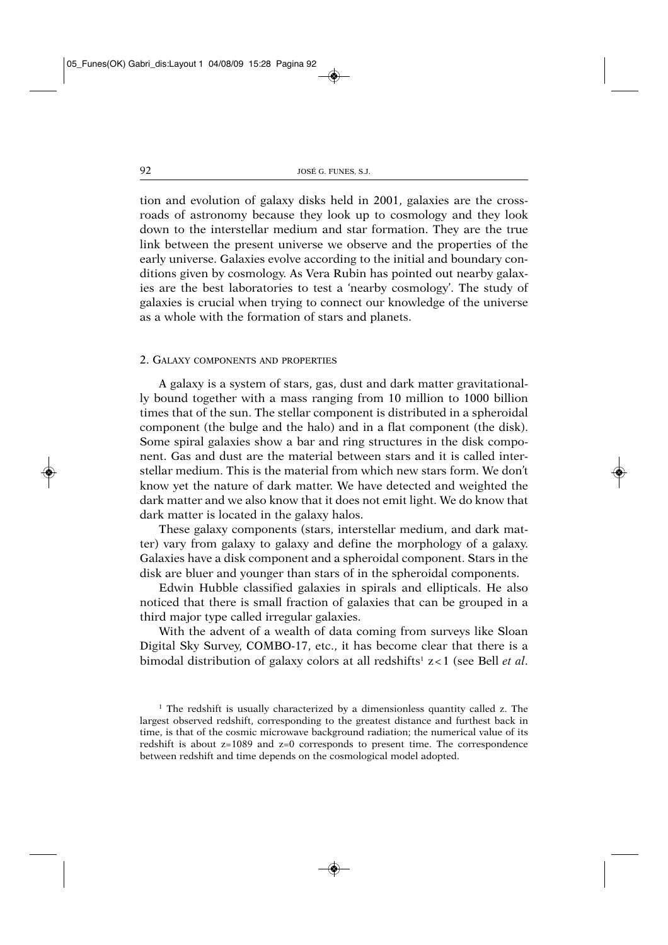tion and evolution of galaxy disks held in 2001, galaxies are the crossroads of astronomy because they look up to cosmology and they look down to the interstellar medium and star formation. They are the true link between the present universe we observe and the properties of the early universe. Galaxies evolve according to the initial and boundary conditions given by cosmology. As Vera Rubin has pointed out nearby galaxies are the best laboratories to test a 'nearby cosmology'. The study of galaxies is crucial when trying to connect our knowledge of the universe as a whole with the formation of stars and planets.

### 2. GALAXY COMPONENTS AND PROPERTIES

A galaxy is a system of stars, gas, dust and dark matter gravitationally bound together with a mass ranging from 10 million to 1000 billion times that of the sun. The stellar component is distributed in a spheroidal component (the bulge and the halo) and in a flat component (the disk). Some spiral galaxies show a bar and ring structures in the disk component. Gas and dust are the material between stars and it is called interstellar medium. This is the material from which new stars form. We don't know yet the nature of dark matter. We have detected and weighted the dark matter and we also know that it does not emit light. We do know that dark matter is located in the galaxy halos.

These galaxy components (stars, interstellar medium, and dark matter) vary from galaxy to galaxy and define the morphology of a galaxy. Galaxies have a disk component and a spheroidal component. Stars in the disk are bluer and younger than stars of in the spheroidal components.

Edwin Hubble classified galaxies in spirals and ellipticals. He also noticed that there is small fraction of galaxies that can be grouped in a third major type called irregular galaxies.

With the advent of a wealth of data coming from surveys like Sloan Digital Sky Survey, COMBO-17, etc., it has become clear that there is a bimodal distribution of galaxy colors at all redshifts<sup>1</sup> z<1 (see Bell *et al.*)

<sup>&</sup>lt;sup>1</sup> The redshift is usually characterized by a dimensionless quantity called z. The largest observed redshift, corresponding to the greatest distance and furthest back in time, is that of the cosmic microwave background radiation; the numerical value of its redshift is about z=1089 and z=0 corresponds to present time. The correspondence between redshift and time depends on the cosmological model adopted.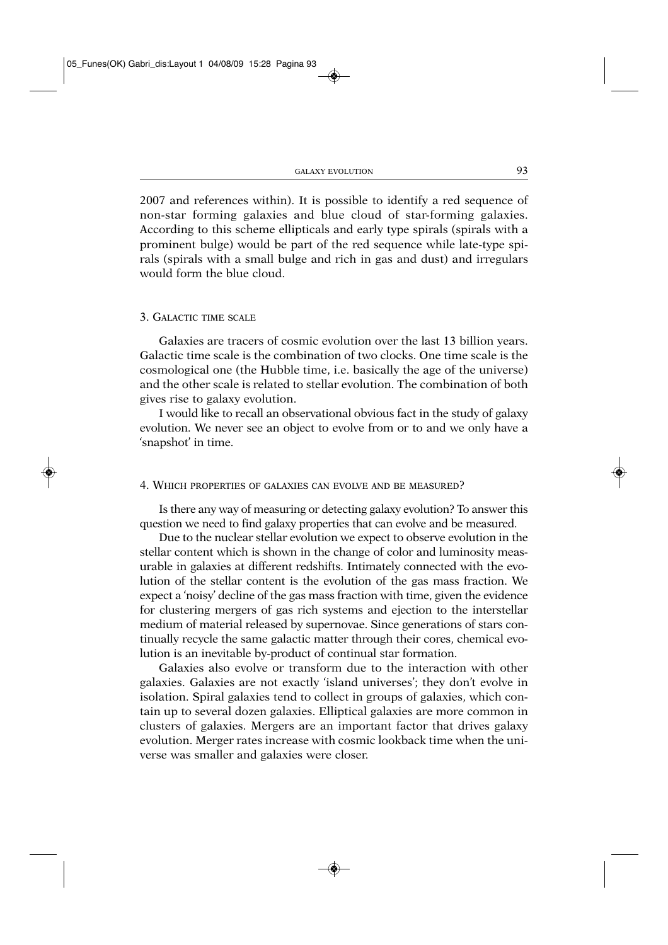2007 and references within). It is possible to identify a red sequence of non-star forming galaxies and blue cloud of star-forming galaxies. According to this scheme ellipticals and early type spirals (spirals with a prominent bulge) would be part of the red sequence while late-type spirals (spirals with a small bulge and rich in gas and dust) and irregulars would form the blue cloud.

# 3. GALACTIC TIME SCALE

Galaxies are tracers of cosmic evolution over the last 13 billion years. Galactic time scale is the combination of two clocks. One time scale is the cosmological one (the Hubble time, i.e. basically the age of the universe) and the other scale is related to stellar evolution. The combination of both gives rise to galaxy evolution.

I would like to recall an observational obvious fact in the study of galaxy evolution. We never see an object to evolve from or to and we only have a 'snapshot' in time.

### 4. WHICH PROPERTIES OF GALAXIES CAN EVOLVE AND BE MEASURED?

Is there any way of measuring or detecting galaxy evolution? To answer this question we need to find galaxy properties that can evolve and be measured.

Due to the nuclear stellar evolution we expect to observe evolution in the stellar content which is shown in the change of color and luminosity measurable in galaxies at different redshifts. Intimately connected with the evolution of the stellar content is the evolution of the gas mass fraction. We expect a 'noisy' decline of the gas mass fraction with time, given the evidence for clustering mergers of gas rich systems and ejection to the interstellar medium of material released by supernovae. Since generations of stars continually recycle the same galactic matter through their cores, chemical evolution is an inevitable by-product of continual star formation.

Galaxies also evolve or transform due to the interaction with other galaxies. Galaxies are not exactly 'island universes'; they don't evolve in isolation. Spiral galaxies tend to collect in groups of galaxies, which contain up to several dozen galaxies. Elliptical galaxies are more common in clusters of galaxies. Mergers are an important factor that drives galaxy evolution. Merger rates increase with cosmic lookback time when the universe was smaller and galaxies were closer.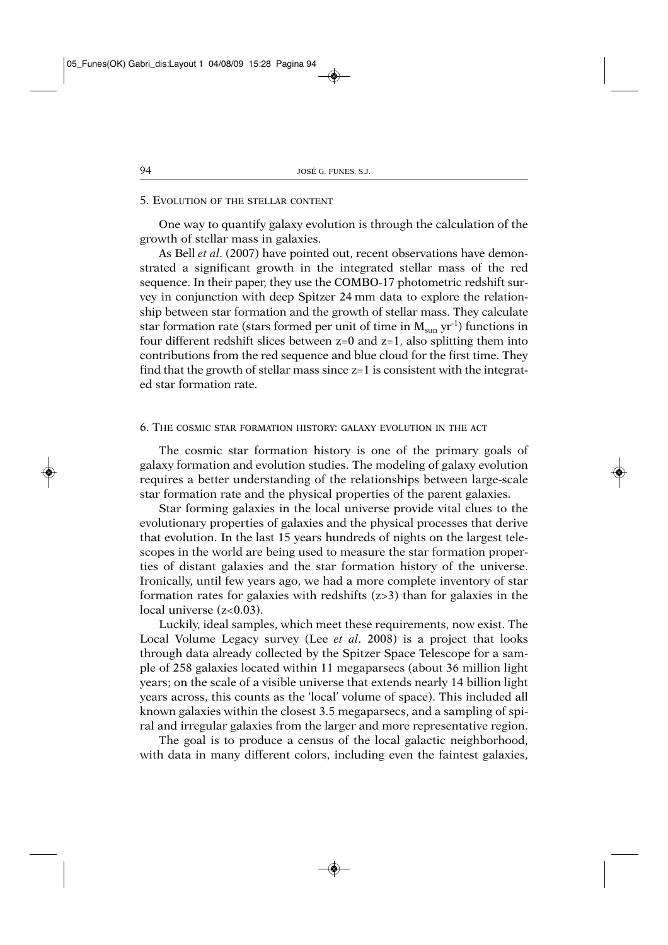# 5. EVOLUTION OF THE STELLAR CONTENT

One way to quantify galaxy evolution is through the calculation of the growth of stellar mass in galaxies.

As Bell *et al*. (2007) have pointed out, recent observations have demonstrated a significant growth in the integrated stellar mass of the red sequence. In their paper, they use the COMBO-17 photometric redshift survey in conjunction with deep Spitzer 24 mm data to explore the relationship between star formation and the growth of stellar mass. They calculate star formation rate (stars formed per unit of time in  $M_{\rm sun}$  yr<sup>-1</sup>) functions in four different redshift slices between  $z=0$  and  $z=1$ , also splitting them into contributions from the red sequence and blue cloud for the first time. They find that the growth of stellar mass since  $z=1$  is consistent with the integrated star formation rate.

### 6. THE COSMIC STAR FORMATION HISTORY: GALAXY EVOLUTION IN THE ACT

The cosmic star formation history is one of the primary goals of galaxy formation and evolution studies. The modeling of galaxy evolution requires a better understanding of the relationships between large-scale star formation rate and the physical properties of the parent galaxies.

Star forming galaxies in the local universe provide vital clues to the evolutionary properties of galaxies and the physical processes that derive that evolution. In the last 15 years hundreds of nights on the largest telescopes in the world are being used to measure the star formation properties of distant galaxies and the star formation history of the universe. Ironically, until few years ago, we had a more complete inventory of star formation rates for galaxies with redshifts (z>3) than for galaxies in the local universe (z<0.03).

Luckily, ideal samples, which meet these requirements, now exist. The Local Volume Legacy survey (Lee *et al*. 2008) is a project that looks through data already collected by the Spitzer Space Telescope for a sample of 258 galaxies located within 11 megaparsecs (about 36 million light years; on the scale of a visible universe that extends nearly 14 billion light years across, this counts as the 'local' volume of space). This included all known galaxies within the closest 3.5 megaparsecs, and a sampling of spiral and irregular galaxies from the larger and more representative region.

The goal is to produce a census of the local galactic neighborhood, with data in many different colors, including even the faintest galaxies,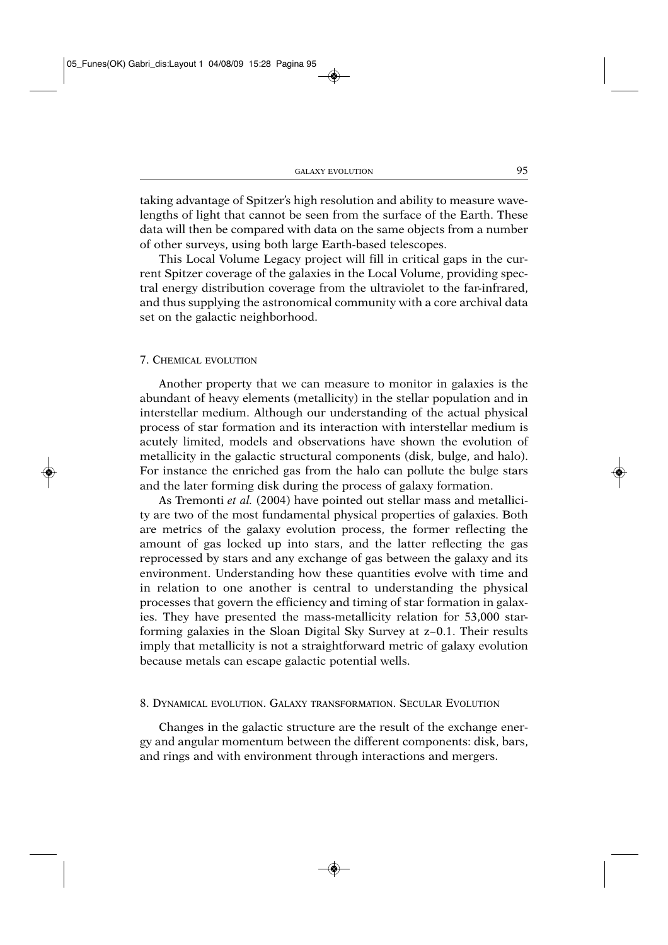taking advantage of Spitzer's high resolution and ability to measure wavelengths of light that cannot be seen from the surface of the Earth. These data will then be compared with data on the same objects from a number of other surveys, using both large Earth-based telescopes.

This Local Volume Legacy project will fill in critical gaps in the current Spitzer coverage of the galaxies in the Local Volume, providing spectral energy distribution coverage from the ultraviolet to the far-infrared, and thus supplying the astronomical community with a core archival data set on the galactic neighborhood.

### 7. CHEMICAL EVOLUTION

Another property that we can measure to monitor in galaxies is the abundant of heavy elements (metallicity) in the stellar population and in interstellar medium. Although our understanding of the actual physical process of star formation and its interaction with interstellar medium is acutely limited, models and observations have shown the evolution of metallicity in the galactic structural components (disk, bulge, and halo). For instance the enriched gas from the halo can pollute the bulge stars and the later forming disk during the process of galaxy formation.

As Tremonti *et al.* (2004) have pointed out stellar mass and metallicity are two of the most fundamental physical properties of galaxies. Both are metrics of the galaxy evolution process, the former reflecting the amount of gas locked up into stars, and the latter reflecting the gas reprocessed by stars and any exchange of gas between the galaxy and its environment. Understanding how these quantities evolve with time and in relation to one another is central to understanding the physical processes that govern the efficiency and timing of star formation in galaxies. They have presented the mass-metallicity relation for 53,000 starforming galaxies in the Sloan Digital Sky Survey at z~0.1. Their results imply that metallicity is not a straightforward metric of galaxy evolution because metals can escape galactic potential wells.

### 8. DYNAMICAL EVOLUTION. GALAXY TRANSFORMATION. SECULAR EVOLUTION

Changes in the galactic structure are the result of the exchange energy and angular momentum between the different components: disk, bars, and rings and with environment through interactions and mergers.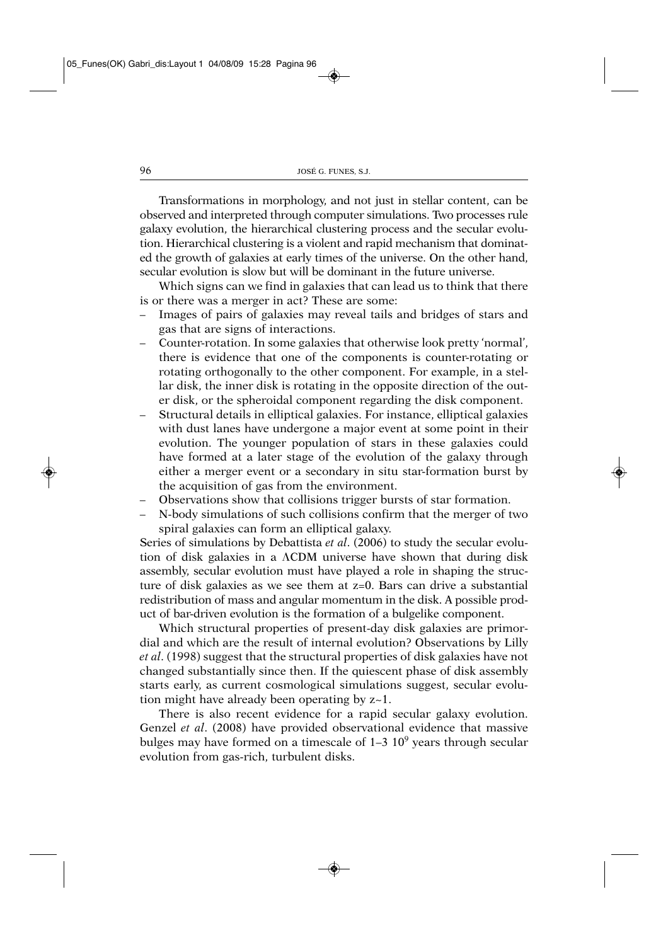Transformations in morphology, and not just in stellar content, can be observed and interpreted through computer simulations. Two processes rule galaxy evolution, the hierarchical clustering process and the secular evolution. Hierarchical clustering is a violent and rapid mechanism that dominated the growth of galaxies at early times of the universe. On the other hand, secular evolution is slow but will be dominant in the future universe.

Which signs can we find in galaxies that can lead us to think that there is or there was a merger in act? These are some:

- Images of pairs of galaxies may reveal tails and bridges of stars and gas that are signs of interactions.
- Counter-rotation. In some galaxies that otherwise look pretty 'normal', there is evidence that one of the components is counter-rotating or rotating orthogonally to the other component. For example, in a stellar disk, the inner disk is rotating in the opposite direction of the outer disk, or the spheroidal component regarding the disk component.
- Structural details in elliptical galaxies. For instance, elliptical galaxies with dust lanes have undergone a major event at some point in their evolution. The younger population of stars in these galaxies could have formed at a later stage of the evolution of the galaxy through either a merger event or a secondary in situ star-formation burst by the acquisition of gas from the environment.
- Observations show that collisions trigger bursts of star formation.
- N-body simulations of such collisions confirm that the merger of two spiral galaxies can form an elliptical galaxy.

Series of simulations by Debattista *et al*. (2006) to study the secular evolution of disk galaxies in a ACDM universe have shown that during disk assembly, secular evolution must have played a role in shaping the structure of disk galaxies as we see them at z=0. Bars can drive a substantial redistribution of mass and angular momentum in the disk. A possible product of bar-driven evolution is the formation of a bulgelike component.

Which structural properties of present-day disk galaxies are primordial and which are the result of internal evolution? Observations by Lilly *et al*. (1998) suggest that the structural properties of disk galaxies have not changed substantially since then. If the quiescent phase of disk assembly starts early, as current cosmological simulations suggest, secular evolution might have already been operating by z~1.

There is also recent evidence for a rapid secular galaxy evolution. Genzel *et al*. (2008) have provided observational evidence that massive bulges may have formed on a timescale of  $1-3$   $10<sup>9</sup>$  years through secular evolution from gas-rich, turbulent disks.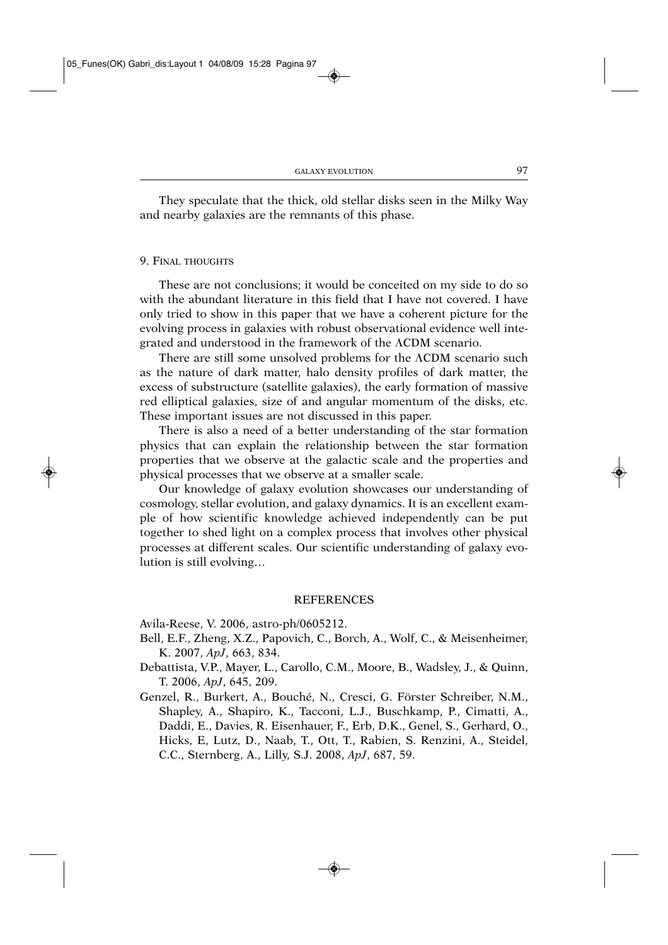They speculate that the thick, old stellar disks seen in the Milky Way and nearby galaxies are the remnants of this phase.

### 9. FINAL THOUGHTS

These are not conclusions; it would be conceited on my side to do so with the abundant literature in this field that I have not covered. I have only tried to show in this paper that we have a coherent picture for the evolving process in galaxies with robust observational evidence well integrated and understood in the framework of the ACDM scenario.

There are still some unsolved problems for the ACDM scenario such as the nature of dark matter, halo density profiles of dark matter, the excess of substructure (satellite galaxies), the early formation of massive red elliptical galaxies, size of and angular momentum of the disks, etc. These important issues are not discussed in this paper.

There is also a need of a better understanding of the star formation physics that can explain the relationship between the star formation properties that we observe at the galactic scale and the properties and physical processes that we observe at a smaller scale.

Our knowledge of galaxy evolution showcases our understanding of cosmology, stellar evolution, and galaxy dynamics. It is an excellent example of how scientific knowledge achieved independently can be put together to shed light on a complex process that involves other physical processes at different scales. Our scientific understanding of galaxy evolution is still evolving…

### **REFERENCES**

Avila-Reese, V. 2006, astro-ph/0605212.

- Bell, E.F., Zheng, X.Z., Papovich, C., Borch, A., Wolf, C., & Meisenheimer, K. 2007, *ApJ*, 663, 834.
- Debattista, V.P., Mayer, L., Carollo, C.M., Moore, B., Wadsley, J., & Quinn, T. 2006, *ApJ*, 645, 209.
- Genzel, R., Burkert, A., Bouché, N., Cresci, G. Förster Schreiber, N.M., Shapley, A., Shapiro, K., Tacconi, L.J., Buschkamp, P., Cimatti, A., Daddi, E., Davies, R. Eisenhauer, F., Erb, D.K., Genel, S., Gerhard, O., Hicks, E, Lutz, D., Naab, T., Ott, T., Rabien, S. Renzini, A., Steidel, C.C., Sternberg, A., Lilly, S.J. 2008, *ApJ*, 687, 59.